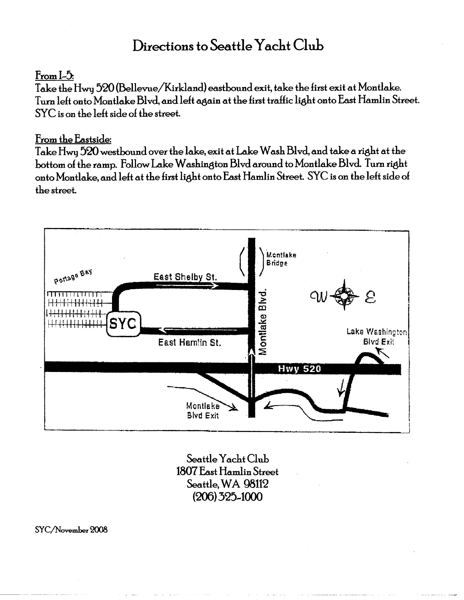### Directions to Seattle Yacht Club

#### $From L5.$

Take the Hwy 520 (Bellevue/Kirkland) eastbound exit, take the first exit at Montlake. Turn left onto Montlake Blvd, and left again at the first traffic light onto East Hamlin Street. SYC is on the left side of the street.

#### From the Eastside:

Take Hwy 520 westbound over the lake, exit at Lake Wash Blvd, and take a right at the bottom of the ramp. Follow Lake Washington Blvd around to Montlake Blvd. Turn right onto Montlake, and left at the first light onto East Hamlin Street. SYC is on the left side of the street.



Seattle Yacht Club 1807 East Hamlin Street Seattle, WA 98112  $(206)$  325-1000

SYC/November 2008